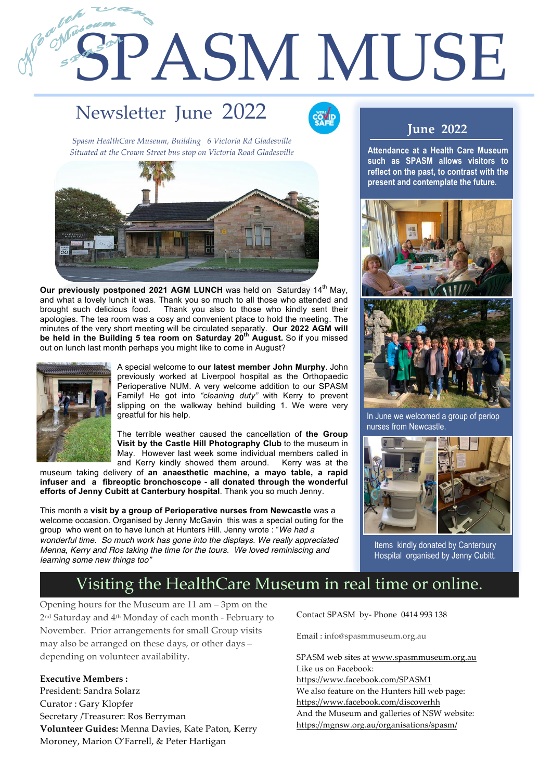# SPASM MUSE

# Newsletter June 2022



*Spasm HealthCare Museum, Building 6 Victoria Rd Gladesville Situated at the Crown Street bus stop on Victoria Road Gladesville*



**Our previously postponed 2021 AGM LUNCH** was held on Saturday 14<sup>th</sup> May, and what a lovely lunch it was. Thank you so much to all those who attended and brought such delicious food. Thank you also to those who kindly sent their apologies. The tea room was a cosy and convenient place to hold the meeting. The minutes of the very short meeting will be circulated separatly. **Our 2022 AGM will be held in the Building 5 tea room on Saturday 20th August.** So if you missed out on lunch last month perhaps you might like to come in August?



1

2

A special welcome to **our latest member John Murphy**. John previously worked at Liverpool hospital as the Orthopaedic Perioperative NUM. A very welcome addition to our SPASM Family! He got into *"cleaning duty"* with Kerry to prevent slipping on the walkway behind building 1. We were very greatful for his help.

The terrible weather caused the cancellation of **the Group Visit by the Castle Hill Photography Club** to the museum in May. However last week some individual members called in and Kerry kindly showed them around. Kerry was at the

museum taking delivery of **an anaesthetic machine, a mayo table, a rapid infuser and a fibreoptic bronchoscope - all donated through the wonderful efforts of Jenny Cubitt at Canterbury hospital**. Thank you so much Jenny.

This month a **visit by a group of Perioperative nurses from Newcastle** was a welcome occasion. Organised by Jenny McGavin this was a special outing for the group who went on to have lunch at Hunters Hill. Jenny wrote : "*We had a wonderful time. So much work has gone into the displays. We really appreciated Menna, Kerry and Ros taking the time for the tours. We loved reminiscing and learning some new things too"*

#### **June 2022**

**Attendance at a Health Care Museum such as SPASM allows visitors to reflect on the past, to contrast with the present and contemplate the future.** 





In June we welcomed a group of periop nurses from Newcastle.



Items kindly donated by Canterbury Hospital organised by Jenny Cubitt.

### Visiting the HealthCare Museum in real time or online.

Opening hours for the Museum are 11 am – 3pm on the 2nd Saturday and 4th Monday of each month - February to November. Prior arrangements for small Group visits may also be arranged on these days, or other days – depending on volunteer availability.

**Executive Members :** President: Sandra Solarz Curator : Gary Klopfer Secretary /Treasurer: Ros Berryman **Volunteer Guides:** Menna Davies, Kate Paton, Kerry Moroney, Marion O'Farrell, & Peter Hartigan

Contact SPASM by- Phone 0414 993 138

Email : info@spasmmuseum.org.au

SPASM web sites at www.spasmmuseum.org.au Like us on Facebook: https://www.facebook.com/SPASM1 We also feature on the Hunters hill web page: https://www.facebook.com/discoverhh And the Museum and galleries of NSW website: https://mgnsw.org.au/organisations/spasm/